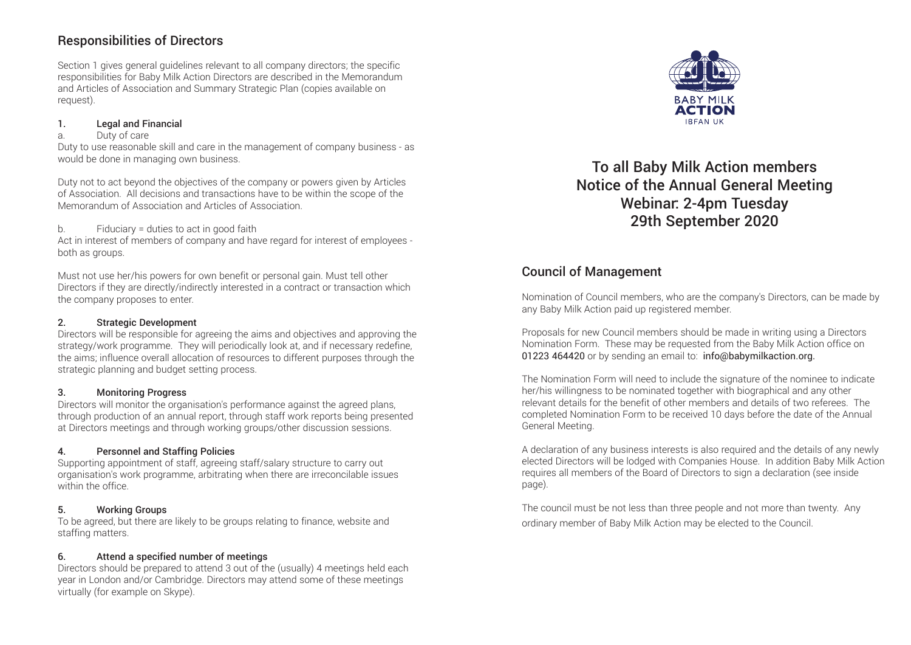## Responsibilities of Directors

Section 1 gives general guidelines relevant to all company directors; the specific responsibilities for Baby Milk Action Directors are described in the Memorandum and Articles of Association and Summary Strategic Plan (copies available on request).

#### 1. Legal and Financial

#### a. Duty of care

Duty to use reasonable skill and care in the management of company business - as would be done in managing own business.

Duty not to act beyond the objectives of the company or powers given by Articles of Association. All decisions and transactions have to be within the scope of the Memorandum of Association and Articles of Association.

#### b. Fiduciary = duties to act in good faith

Act in interest of members of company and have regard for interest of employees both as groups.

Must not use her/his powers for own benefit or personal gain. Must tell other Directors if they are directly/indirectly interested in a contract or transaction which the company proposes to enter.

#### 2. Strategic Development

Directors will be responsible for agreeing the aims and objectives and approving the strategy/work programme. They will periodically look at, and if necessary redefine, the aims; influence overall allocation of resources to different purposes through the strategic planning and budget setting process.

#### 3. Monitoring Progress

Directors will monitor the organisation's performance against the agreed plans, through production of an annual report, through staff work reports being presented at Directors meetings and through working groups/other discussion sessions.

#### 4. Personnel and Staffing Policies

Supporting appointment of staff, agreeing staff/salary structure to carry out organisation's work programme, arbitrating when there are irreconcilable issues within the office

#### 5. Working Groups

To be agreed, but there are likely to be groups relating to finance, website and staffing matters.

#### 6. Attend a specified number of meetings

Directors should be prepared to attend 3 out of the (usually) 4 meetings held each year in London and/or Cambridge. Directors may attend some of these meetings virtually (for example on Skype).



To all Baby Milk Action members Notice of the Annual General Meeting Webinar: 2-4pm Tuesday 29th September 2020

# Council of Management

Nomination of Council members, who are the company's Directors, can be made by any Baby Milk Action paid up registered member.

Proposals for new Council members should be made in writing using a Directors Nomination Form. These may be requested from the Baby Milk Action office on 01223 464420 or by sending an email to: info@babymilkaction.org.

The Nomination Form will need to include the signature of the nominee to indicate her/his willingness to be nominated together with biographical and any other relevant details for the benefit of other members and details of two referees. The completed Nomination Form to be received 10 days before the date of the Annual General Meeting.

A declaration of any business interests is also required and the details of any newly elected Directors will be lodged with Companies House. In addition Baby Milk Action requires all members of the Board of Directors to sign a declaration (see inside page).

The council must be not less than three people and not more than twenty. Any ordinary member of Baby Milk Action may be elected to the Council.